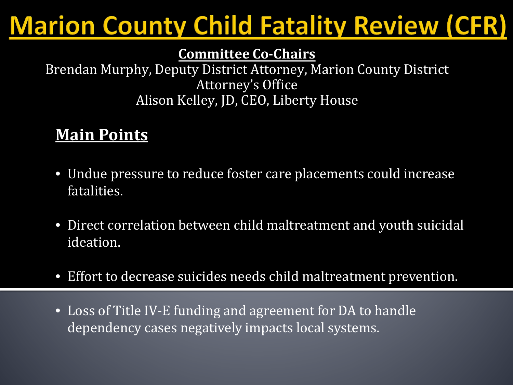## **Marion County Child Fatality Review (CFR)**

#### **Committee Co-Chairs**

Brendan Murphy, Deputy District Attorney, Marion County District Attorney's Office Alison Kelley, JD, CEO, Liberty House

### **Main Points**

- Undue pressure to reduce foster care placements could increase fatalities.
- Direct correlation between child maltreatment and youth suicidal ideation.
- Effort to decrease suicides needs child maltreatment prevention.
- Loss of Title IV-E funding and agreement for DA to handle dependency cases negatively impacts local systems.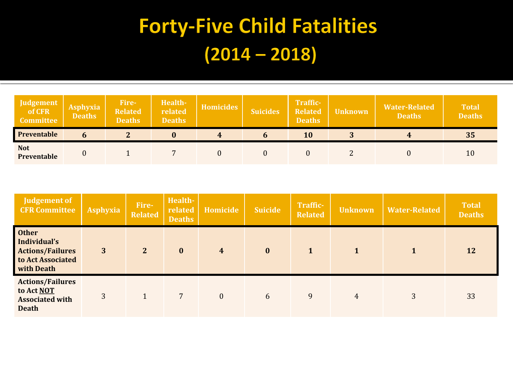## **Forty-Five Child Fatalities**  $(2014 - 2018)$

| Judgement<br>of CFR<br><b>Committee</b> | <b>Asphyxia</b><br><b>Deaths</b> | Fire-<br><b>Related</b><br><b>Deaths</b> | Health-<br>related<br><b>Deaths</b> | Homicides | <i><b>Suicides</b></i> | Traffic-<br><b>Related</b><br><b>Deaths</b> | <b>Unknown</b> | <b>Water-Related</b><br><b>Deaths</b> | <b>Total</b><br><b>Deaths</b> |
|-----------------------------------------|----------------------------------|------------------------------------------|-------------------------------------|-----------|------------------------|---------------------------------------------|----------------|---------------------------------------|-------------------------------|
| <b>Preventable</b>                      |                                  | n                                        |                                     | 4         |                        | 10                                          |                |                                       | 35                            |
| <b>Not</b><br>Preventable               |                                  |                                          |                                     |           |                        |                                             |                |                                       | 10                            |

| Judgement of<br><b>CFR Committee</b>                                                       | <b>Asphyxia</b> | Fire-<br><b>Related</b> | Health-<br>related<br><b>Deaths</b> | Homicide                | <b>Suicide</b> | <b>Traffic-</b><br><b>Related</b> | <b>Unknown</b> | <b>Water-Related</b> | <b>Total</b><br><b>Deaths</b> |
|--------------------------------------------------------------------------------------------|-----------------|-------------------------|-------------------------------------|-------------------------|----------------|-----------------------------------|----------------|----------------------|-------------------------------|
| <b>Other</b><br>Individual's<br><b>Actions/Failures</b><br>to Act Associated<br>with Death | 3               | $\overline{2}$          | $\bf{0}$                            | $\overline{\mathbf{4}}$ | $\bf{0}$       | $\mathbf{1}$                      |                |                      | 12                            |
| <b>Actions/Failures</b><br>to Act NOT<br><b>Associated with</b><br><b>Death</b>            | 3               |                         | $7\phantom{.0}$                     | $\mathbf{0}$            | 6              | 9                                 | 4              | 3                    | 33                            |